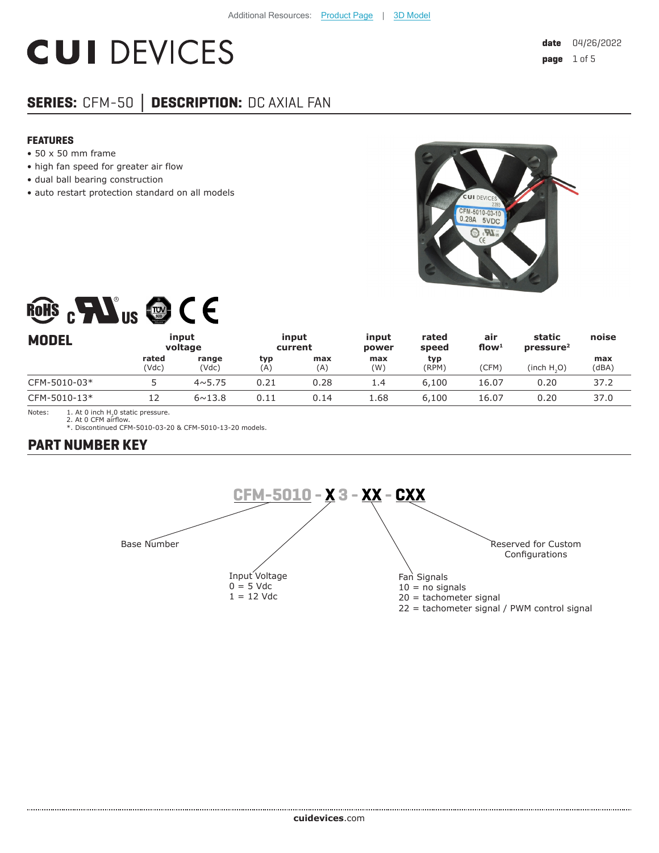# **CUI DEVICES**

# **SERIES:** CFM-50 **│ DESCRIPTION:** DC AXIAL FAN

#### **FEATURES**

- 50 x 50 mm frame
- high fan speed for greater air flow
- dual ball bearing construction
- auto restart protection standard on all models



# ROHS CHAIS @ CE

| <b>MODEL</b> |                | input<br>voltage |            | input<br>current | input<br>power | rated<br>speed | air<br>flow $1$ | static<br>pressure <sup>2</sup> | noise        |
|--------------|----------------|------------------|------------|------------------|----------------|----------------|-----------------|---------------------------------|--------------|
|              | rated<br>(Vdc) | range<br>(Vdc)   | typ<br>(A) | max<br>(A)       | max<br>(W)     | typ<br>(RPM)   | (CFM)           | (inch H, O)                     | max<br>(dBA) |
| CFM-5010-03* |                | $4 \times 5.75$  | 0.21       | 0.28             | 1.4            | 6,100          | 16.07           | 0.20                            | 37.2         |
| CFM-5010-13* | 12             | $6 \sim 13.8$    | 0.11       | 0.14             | 1.68           | 6,100          | 16.07           | 0.20                            | 37.0         |

Notes:  $1.$  At 0 inch H<sub>2</sub>0 static pressure.

2. At 0 CFM airflow. \*. Discontinued CFM-5010-03-20 & CFM-5010-13-20 models.

#### **PART NUMBER KEY**

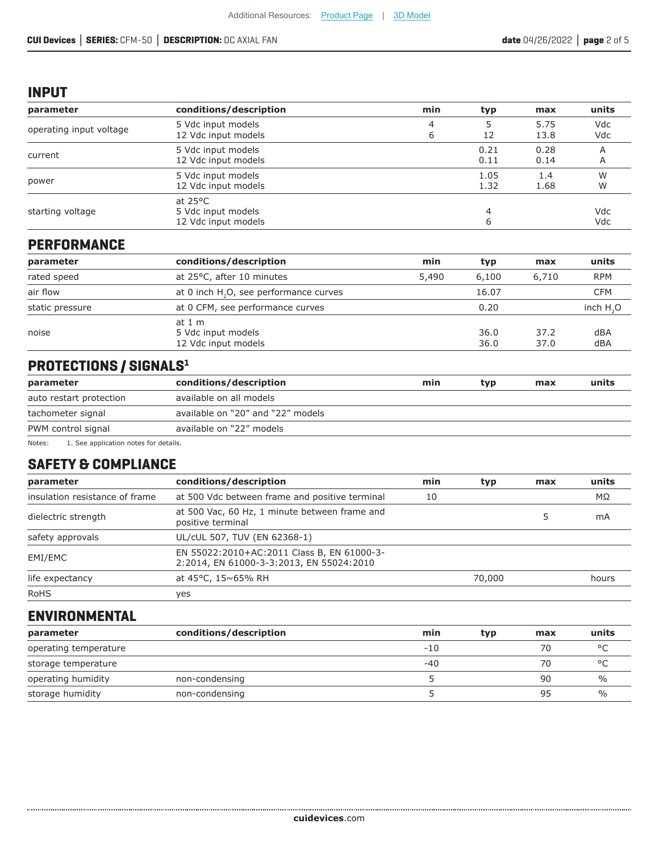#### **INPUT**

| parameter               | conditions/description                                         | min    | typ          | max          | units      |
|-------------------------|----------------------------------------------------------------|--------|--------------|--------------|------------|
| operating input voltage | 5 Vdc input models<br>12 Vdc input models                      | 4<br>6 | 12           | 5.75<br>13.8 | Vdc<br>Vdc |
| current                 | 5 Vdc input models<br>12 Vdc input models                      |        | 0.21<br>0.11 | 0.28<br>0.14 | A<br>A     |
| power                   | 5 Vdc input models<br>12 Vdc input models                      |        | 1.05<br>1.32 | 1.4<br>1.68  | W<br>W     |
| starting voltage        | at $25^{\circ}$ C<br>5 Vdc input models<br>12 Vdc input models |        |              |              | Vdc<br>Vdc |

### **PERFORMANCE**

| parameter       | conditions/description                               | min   | typ          | max          | units      |
|-----------------|------------------------------------------------------|-------|--------------|--------------|------------|
| rated speed     | at 25°C, after 10 minutes                            | 5,490 | 6,100        | 6,710        | <b>RPM</b> |
| air flow        | at 0 inch H <sub>2</sub> O, see performance curves   |       | 16.07        |              | CFM        |
| static pressure | at 0 CFM, see performance curves                     |       | 0.20         |              | inch $H2O$ |
| noise           | at $1m$<br>5 Vdc input models<br>12 Vdc input models |       | 36.0<br>36.0 | 37.2<br>37.0 | dBA<br>dBA |

# **PROTECTIONS / SIGNALS1**

| parameter                                   | conditions/description            | min | tvp | max | units |
|---------------------------------------------|-----------------------------------|-----|-----|-----|-------|
| auto restart protection                     | available on all models           |     |     |     |       |
| tachometer signal                           | available on "20" and "22" models |     |     |     |       |
| PWM control signal                          | available on "22" models          |     |     |     |       |
| Notes:<br>See annlication notes for details |                                   |     |     |     |       |

1. See application notes for

## **SAFETY & COMPLIANCE**

| parameter                      | conditions/description                                                                 | min | typ    | max | units |
|--------------------------------|----------------------------------------------------------------------------------------|-----|--------|-----|-------|
| insulation resistance of frame | at 500 Vdc between frame and positive terminal                                         | 10  |        |     | MΩ    |
| dielectric strength            | at 500 Vac, 60 Hz, 1 minute between frame and<br>positive terminal                     |     |        |     | mA    |
| safety approvals               | UL/cUL 507, TUV (EN 62368-1)                                                           |     |        |     |       |
| EMI/EMC                        | EN 55022:2010+AC:2011 Class B, EN 61000-3-<br>2:2014, EN 61000-3-3:2013, EN 55024:2010 |     |        |     |       |
| life expectancy                | at 45°C, 15~65% RH                                                                     |     | 70,000 |     | hours |
| <b>RoHS</b>                    | yes                                                                                    |     |        |     |       |

#### **ENVIRONMENTAL**

| parameter             | conditions/description | min   | typ | max | units         |
|-----------------------|------------------------|-------|-----|-----|---------------|
| operating temperature |                        | $-10$ |     | 70  | $\circ$       |
| storage temperature   |                        | $-40$ |     | 70  | $\circ$       |
| operating humidity    | non-condensing         |       |     | 90  | $\%$          |
| storage humidity      | non-condensing         |       |     | 95  | $\frac{0}{0}$ |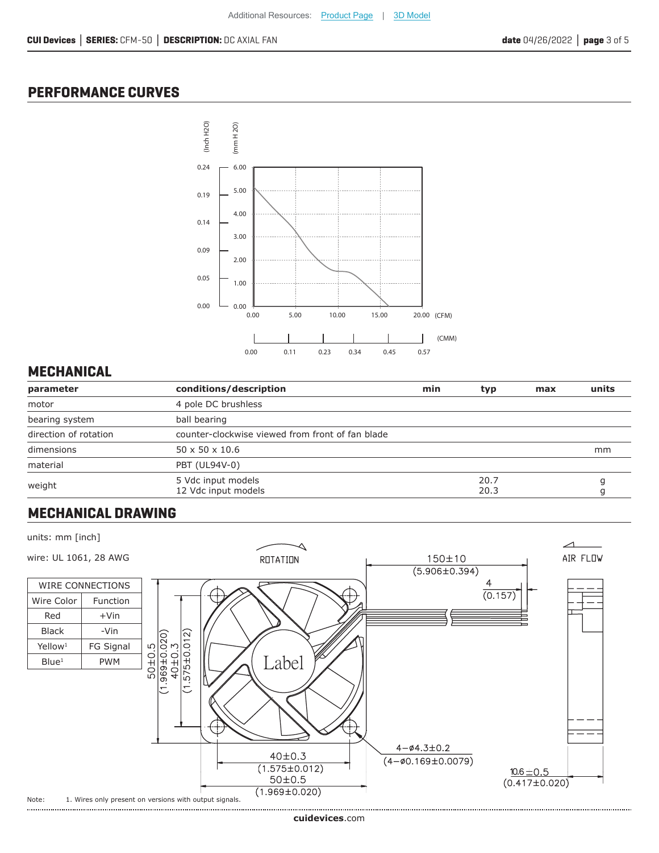#### **PERFORMANCE CURVES**



### **MECHANICAL**

| parameter             | conditions/description                           | min | typ          | max | units |
|-----------------------|--------------------------------------------------|-----|--------------|-----|-------|
| motor                 | 4 pole DC brushless                              |     |              |     |       |
| bearing system        | ball bearing                                     |     |              |     |       |
| direction of rotation | counter-clockwise viewed from front of fan blade |     |              |     |       |
| dimensions            | $50 \times 50 \times 10.6$                       |     |              |     | mm    |
| material              | PBT (UL94V-0)                                    |     |              |     |       |
| weight                | 5 Vdc input models<br>12 Vdc input models        |     | 20.7<br>20.3 |     |       |

#### **MECHANICAL DRAWING**

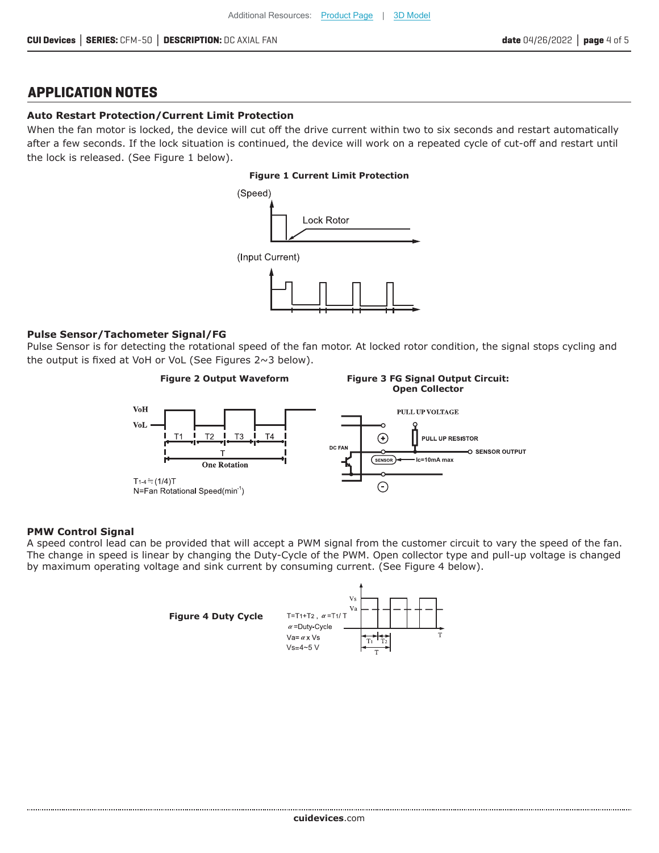#### **APPLICATION NOTES**

#### **Auto Restart Protection/Current Limit Protection**

When the fan motor is locked, the device will cut off the drive current within two to six seconds and restart automatically after a few seconds. If the lock situation is continued, the device will work on a repeated cycle of cut-off and restart until the lock is released. (See Figure 1 below).

#### **Figure 1 Current Limit Protection**



#### **Pulse Sensor/Tachometer Signal/FG**

Pulse Sensor is for detecting the rotational speed of the fan motor. At locked rotor condition, the signal stops cycling and the output is fixed at VoH or VoL (See Figures 2~3 below).



#### **PMW Control Signal**

A speed control lead can be provided that will accept a PWM signal from the customer circuit to vary the speed of the fan. The change in speed is linear by changing the Duty-Cycle of the PWM. Open collector type and pull-up voltage is changed by maximum operating voltage and sink current by consuming current. (See Figure 4 below).